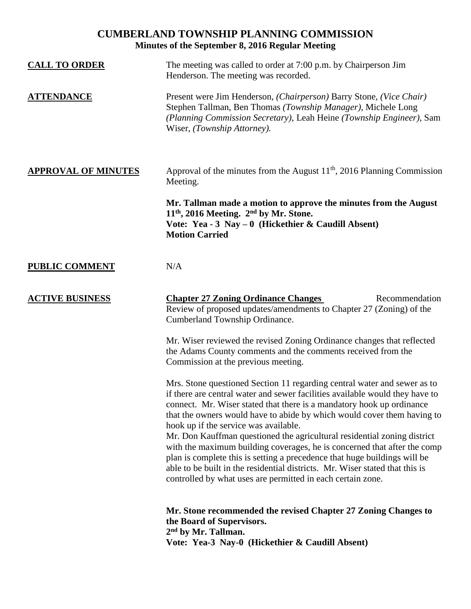## **CUMBERLAND TOWNSHIP PLANNING COMMISSION Minutes of the September 8, 2016 Regular Meeting**

| <b>CALL TO ORDER</b>       | The meeting was called to order at 7:00 p.m. by Chairperson Jim<br>Henderson. The meeting was recorded.                                                                                                                                                                                                                                                                                                                                                                                                                                                                                                                                                                                                                                   |
|----------------------------|-------------------------------------------------------------------------------------------------------------------------------------------------------------------------------------------------------------------------------------------------------------------------------------------------------------------------------------------------------------------------------------------------------------------------------------------------------------------------------------------------------------------------------------------------------------------------------------------------------------------------------------------------------------------------------------------------------------------------------------------|
| <b>ATTENDANCE</b>          | Present were Jim Henderson, (Chairperson) Barry Stone, (Vice Chair)<br>Stephen Tallman, Ben Thomas (Township Manager), Michele Long<br>(Planning Commission Secretary), Leah Heine (Township Engineer), Sam<br>Wiser, (Township Attorney).                                                                                                                                                                                                                                                                                                                                                                                                                                                                                                |
| <b>APPROVAL OF MINUTES</b> | Approval of the minutes from the August $11th$ , 2016 Planning Commission<br>Meeting.                                                                                                                                                                                                                                                                                                                                                                                                                                                                                                                                                                                                                                                     |
|                            | Mr. Tallman made a motion to approve the minutes from the August<br>$11th$ , 2016 Meeting. $2nd$ by Mr. Stone.<br>Vote: Yea - 3 Nay - 0 (Hickethier & Caudill Absent)<br><b>Motion Carried</b>                                                                                                                                                                                                                                                                                                                                                                                                                                                                                                                                            |
| <b>PUBLIC COMMENT</b>      | N/A                                                                                                                                                                                                                                                                                                                                                                                                                                                                                                                                                                                                                                                                                                                                       |
| <b>ACTIVE BUSINESS</b>     | <b>Chapter 27 Zoning Ordinance Changes</b><br>Recommendation<br>Review of proposed updates/amendments to Chapter 27 (Zoning) of the<br>Cumberland Township Ordinance.                                                                                                                                                                                                                                                                                                                                                                                                                                                                                                                                                                     |
|                            | Mr. Wiser reviewed the revised Zoning Ordinance changes that reflected<br>the Adams County comments and the comments received from the<br>Commission at the previous meeting.                                                                                                                                                                                                                                                                                                                                                                                                                                                                                                                                                             |
|                            | Mrs. Stone questioned Section 11 regarding central water and sewer as to<br>if there are central water and sewer facilities available would they have to<br>connect. Mr. Wiser stated that there is a mandatory hook up ordinance<br>that the owners would have to abide by which would cover them having to<br>hook up if the service was available.<br>Mr. Don Kauffman questioned the agricultural residential zoning district<br>with the maximum building coverages, he is concerned that after the comp<br>plan is complete this is setting a precedence that huge buildings will be<br>able to be built in the residential districts. Mr. Wiser stated that this is<br>controlled by what uses are permitted in each certain zone. |
|                            | Mr. Stone recommended the revised Chapter 27 Zoning Changes to<br>the Board of Supervisors.<br>2 <sup>nd</sup> by Mr. Tallman.<br>Vote: Yea-3 Nay-0 (Hickethier & Caudill Absent)                                                                                                                                                                                                                                                                                                                                                                                                                                                                                                                                                         |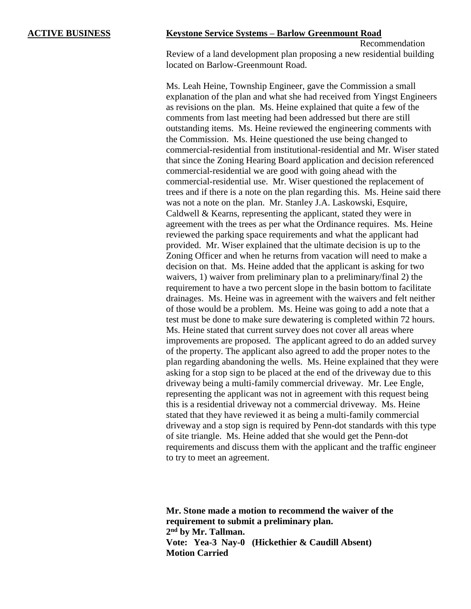## **ACTIVE BUSINESS Keystone Service Systems – Barlow Greenmount Road**

Recommendation Review of a land development plan proposing a new residential building located on Barlow-Greenmount Road.

Ms. Leah Heine, Township Engineer, gave the Commission a small explanation of the plan and what she had received from Yingst Engineers as revisions on the plan. Ms. Heine explained that quite a few of the comments from last meeting had been addressed but there are still outstanding items. Ms. Heine reviewed the engineering comments with the Commission. Ms. Heine questioned the use being changed to commercial-residential from institutional-residential and Mr. Wiser stated that since the Zoning Hearing Board application and decision referenced commercial-residential we are good with going ahead with the commercial-residential use. Mr. Wiser questioned the replacement of trees and if there is a note on the plan regarding this. Ms. Heine said there was not a note on the plan. Mr. Stanley J.A. Laskowski, Esquire, Caldwell & Kearns, representing the applicant, stated they were in agreement with the trees as per what the Ordinance requires. Ms. Heine reviewed the parking space requirements and what the applicant had provided. Mr. Wiser explained that the ultimate decision is up to the Zoning Officer and when he returns from vacation will need to make a decision on that. Ms. Heine added that the applicant is asking for two waivers, 1) waiver from preliminary plan to a preliminary/final 2) the requirement to have a two percent slope in the basin bottom to facilitate drainages. Ms. Heine was in agreement with the waivers and felt neither of those would be a problem. Ms. Heine was going to add a note that a test must be done to make sure dewatering is completed within 72 hours. Ms. Heine stated that current survey does not cover all areas where improvements are proposed. The applicant agreed to do an added survey of the property. The applicant also agreed to add the proper notes to the plan regarding abandoning the wells. Ms. Heine explained that they were asking for a stop sign to be placed at the end of the driveway due to this driveway being a multi-family commercial driveway. Mr. Lee Engle, representing the applicant was not in agreement with this request being this is a residential driveway not a commercial driveway. Ms. Heine stated that they have reviewed it as being a multi-family commercial driveway and a stop sign is required by Penn-dot standards with this type of site triangle. Ms. Heine added that she would get the Penn-dot requirements and discuss them with the applicant and the traffic engineer to try to meet an agreement.

**Mr. Stone made a motion to recommend the waiver of the requirement to submit a preliminary plan. 2 nd by Mr. Tallman. Vote: Yea-3 Nay-0 (Hickethier & Caudill Absent) Motion Carried**